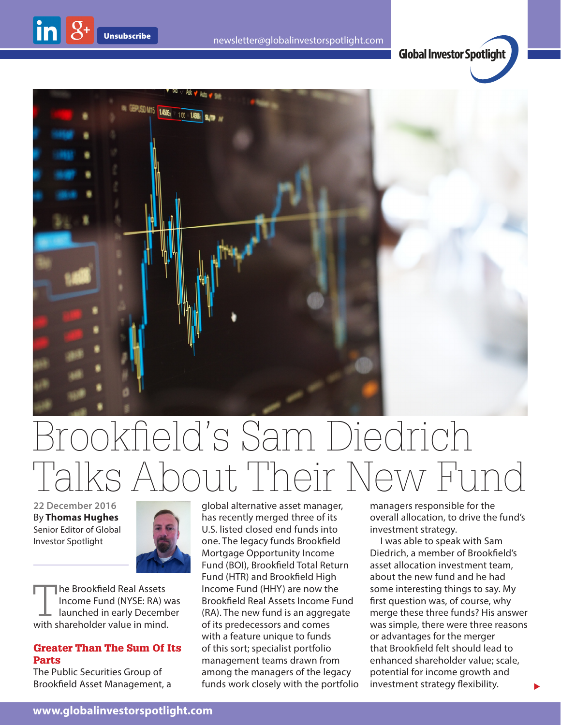



## Brookfield's Sam Diedrich Talks About Their New Fund

**22 December 2016** By **Thomas Hughes** Senior Editor of Global Investor Spotlight

 $\ln |8+$ 



The Brookfield Real Assets Income Fund (NYSE: RA) was launched in early December with shareholder value in mind.

## Greater Than The Sum Of Its Parts

The Public Securities Group of Brookfield Asset Management, a global alternative asset manager, has recently merged three of its U.S. listed closed end funds into one. The legacy funds Brookfield Mortgage Opportunity Income Fund (BOI), Brookfield Total Return Fund (HTR) and Brookfield High Income Fund (HHY) are now the Brookfield Real Assets Income Fund (RA). The new fund is an aggregate of its predecessors and comes with a feature unique to funds of this sort; specialist portfolio management teams drawn from among the managers of the legacy funds work closely with the portfolio managers responsible for the overall allocation, to drive the fund's investment strategy.

I was able to speak with Sam Diedrich, a member of Brookfield's asset allocation investment team, about the new fund and he had some interesting things to say. My first question was, of course, why merge these three funds? His answer was simple, there were three reasons or advantages for the merger that Brookfield felt should lead to enhanced shareholder value; scale, potential for income growth and investment strategy flexibility.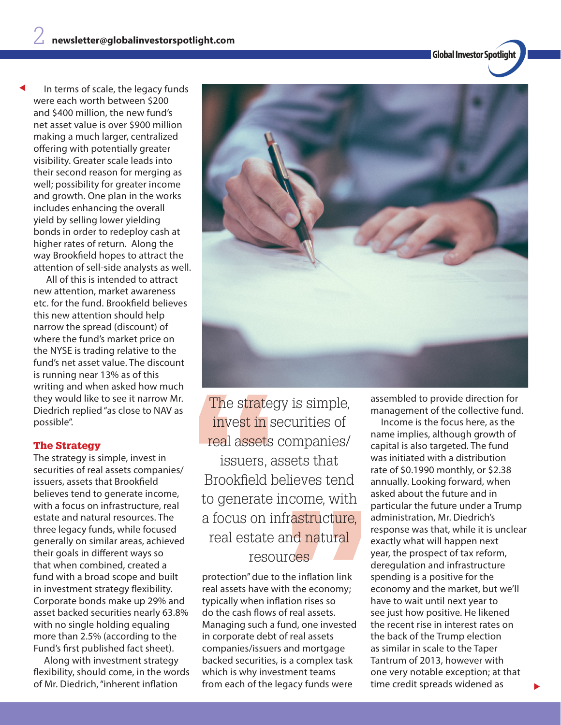**Global Investor Spotlight**

In terms of scale, the legacy funds were each worth between \$200 and \$400 million, the new fund's net asset value is over \$900 million making a much larger, centralized offering with potentially greater visibility. Greater scale leads into their second reason for merging as well; possibility for greater income and growth. One plan in the works includes enhancing the overall yield by selling lower yielding bonds in order to redeploy cash at higher rates of return. Along the way Brookfield hopes to attract the attention of sell-side analysts as well.

t

 All of this is intended to attract new attention, market awareness etc. for the fund. Brookfield believes this new attention should help narrow the spread (discount) of where the fund's market price on the NYSE is trading relative to the fund's net asset value. The discount is running near 13% as of this writing and when asked how much they would like to see it narrow Mr. Diedrich replied "as close to NAV as possible".

## The Strategy

The strategy is simple, invest in securities of real assets companies/ issuers, assets that Brookfield believes tend to generate income, with a focus on infrastructure, real estate and natural resources. The three legacy funds, while focused generally on similar areas, achieved their goals in different ways so that when combined, created a fund with a broad scope and built in investment strategy flexibility. Corporate bonds make up 29% and asset backed securities nearly 63.8% with no single holding equaling more than 2.5% (according to the Fund's first published fact sheet).

Along with investment strategy flexibility, should come, in the words of Mr. Diedrich, "inherent inflation



The strateg<br>
invest in serve<br>
real assets<br>
issuers, a<br>
Brookfield b<br>
to generate i<br>
a focus on ir<br>
real estate Brookfield believes tend real assets companies/ The strategy is simple, invest in securities of issuers, assets that ets that<br>eves tend<br>come, with<br>astructure,<br>d natural<br>res to generate income, with a focus on infrastructure, real estate and natural resources

protection" due to the inflation link real assets have with the economy; typically when inflation rises so do the cash flows of real assets. Managing such a fund, one invested in corporate debt of real assets companies/issuers and mortgage backed securities, is a complex task which is why investment teams from each of the legacy funds were

assembled to provide direction for management of the collective fund.

Income is the focus here, as the name implies, although growth of capital is also targeted. The fund was initiated with a distribution rate of \$0.1990 monthly, or \$2.38 annually. Looking forward, when asked about the future and in particular the future under a Trump administration, Mr. Diedrich's response was that, while it is unclear exactly what will happen next year, the prospect of tax reform, deregulation and infrastructure spending is a positive for the economy and the market, but we'll have to wait until next year to see just how positive. He likened the recent rise in interest rates on the back of the Trump election as similar in scale to the Taper Tantrum of 2013, however with one very notable exception; at that time credit spreads widened as